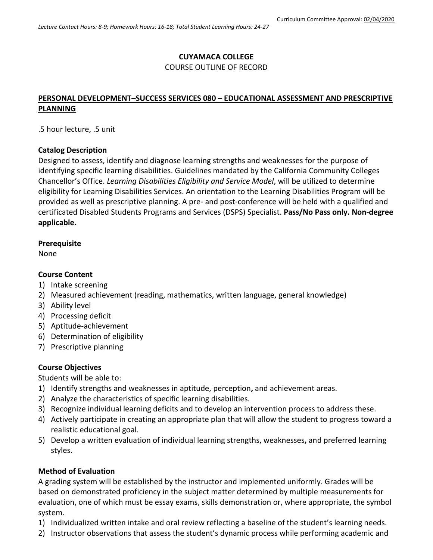## **CUYAMACA COLLEGE**

#### COURSE OUTLINE OF RECORD

# **PERSONAL DEVELOPMENT–SUCCESS SERVICES 080 – EDUCATIONAL ASSESSMENT AND PRESCRIPTIVE PLANNING**

.5 hour lecture, .5 unit

### **Catalog Description**

Designed to assess, identify and diagnose learning strengths and weaknesses for the purpose of identifying specific learning disabilities. Guidelines mandated by the California Community Colleges Chancellor's Office. *Learning Disabilities Eligibility and Service Model*, will be utilized to determine eligibility for Learning Disabilities Services. An orientation to the Learning Disabilities Program will be provided as well as prescriptive planning. A pre- and post-conference will be held with a qualified and certificated Disabled Students Programs and Services (DSPS) Specialist. **Pass/No Pass only. Non-degree applicable.**

### **Prerequisite**

None

### **Course Content**

- 1) Intake screening
- 2) Measured achievement (reading, mathematics, written language, general knowledge)
- 3) Ability level
- 4) Processing deficit
- 5) Aptitude-achievement
- 6) Determination of eligibility
- 7) Prescriptive planning

### **Course Objectives**

Students will be able to:

- 1) Identify strengths and weaknesses in aptitude, perception**,** and achievement areas.
- 2) Analyze the characteristics of specific learning disabilities.
- 3) Recognize individual learning deficits and to develop an intervention process to address these.
- 4) Actively participate in creating an appropriate plan that will allow the student to progress toward a realistic educational goal.
- 5) Develop a written evaluation of individual learning strengths, weaknesses**,** and preferred learning styles.

### **Method of Evaluation**

A grading system will be established by the instructor and implemented uniformly. Grades will be based on demonstrated proficiency in the subject matter determined by multiple measurements for evaluation, one of which must be essay exams, skills demonstration or, where appropriate, the symbol system.

- 1) Individualized written intake and oral review reflecting a baseline of the student's learning needs.
- 2) Instructor observations that assess the student's dynamic process while performing academic and